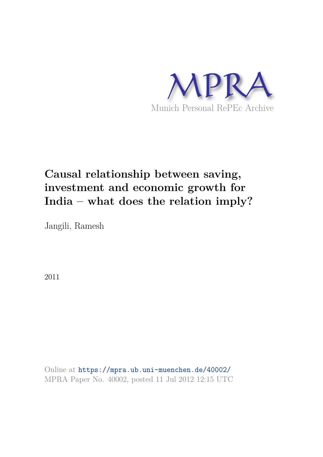

# **Causal relationship between saving, investment and economic growth for India – what does the relation imply?**

Jangili, Ramesh

2011

Online at https://mpra.ub.uni-muenchen.de/40002/ MPRA Paper No. 40002, posted 11 Jul 2012 12:15 UTC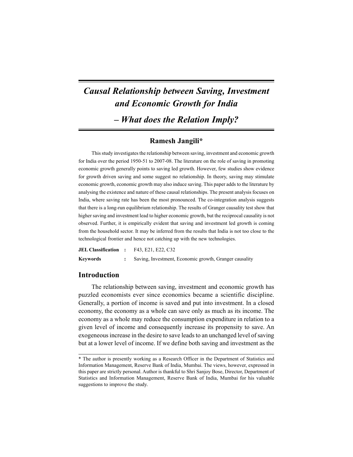# *Causal Relationship between Saving, Investment and Economic Growth for India – What does the Relation Imply?*

# **Ramesh Jangili\***

This study investigates the relationship between saving, investment and economic growth for India over the period 1950-51 to 2007-08. The literature on the role of saving in promoting economic growth generally points to saving led growth. However, few studies show evidence for growth driven saving and some suggest no relationship. In theory, saving may stimulate economic growth, economic growth may also induce saving. This paper adds to the literature by analysing the existence and nature of these causal relationships. The present analysis focuses on India, where saving rate has been the most pronounced. The co-integration analysis suggests that there is a long-run equilibrium relationship. The results of Granger causality test show that higher saving and investment lead to higher economic growth, but the reciprocal causality is not observed. Further, it is empirically evident that saving and investment led growth is coming from the household sector. It may be inferred from the results that India is not too close to the technological frontier and hence not catching up with the new technologies.

| <b>JEL Classification :</b> | F43, E21, E22, C32                                     |
|-----------------------------|--------------------------------------------------------|
| Keywords                    | Saving, Investment, Economic growth, Granger causality |

# **Introduction**

The relationship between saving, investment and economic growth has puzzled economists ever since economics became a scientific discipline. Generally, a portion of income is saved and put into investment. In a closed economy, the economy as a whole can save only as much as its income. The economy as a whole may reduce the consumption expenditure in relation to a given level of income and consequently increase its propensity to save. An exogeneous increase in the desire to save leads to an unchanged level of saving but at a lower level of income. If we define both saving and investment as the

<sup>\*</sup> The author is presently working as a Research Officer in the Department of Statistics and Information Management, Reserve Bank of India, Mumbai. The views, however, expressed in this paper are strictly personal. Author is thankful to Shri Sanjoy Bose, Director, Department of Statistics and Information Management, Reserve Bank of India, Mumbai for his valuable suggestions to improve the study.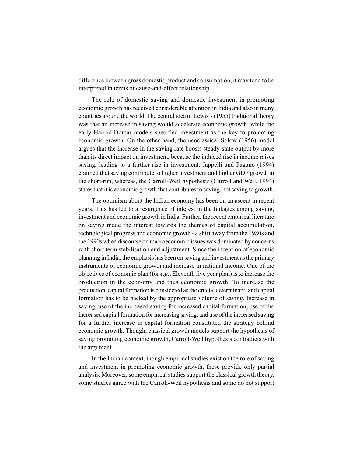difference between gross domestic product and consumption, it may tend to be interpreted in terms of cause-and-effect relationship.

The role of domestic saving and domestic investment in promoting economic growth has received considerable attention in India and also in many countries around the world. The central idea of Lewis's (1955) traditional theory was that an increase in saving would accelerate economic growth, while the early Harrod-Domar models specified investment as the key to promoting economic growth. On the other hand, the neoclassical Solow (1956) model argues that the increase in the saving rate boosts steady-state output by more than its direct impact on investment, because the induced rise in income raises saving, leading to a further rise in investment. Jappelli and Pagano (1994) claimed that saving contribute to higher investment and higher GDP growth in the short-run, whereas, the Carroll-Weil hypothesis (Carroll and Weil, 1994) states that it is economic growth that contributes to saving, not saving to growth.

The optimism about the Indian economy has been on an ascent in recent years. This has led to a resurgence of interest in the linkages among saving, investment and economic growth in India. Further, the recent empirical literature on saving made the interest towards the themes of capital accumulation, technological progress and economic growth - a shift away from the 1980s and the 1990s when discourse on macroeconomic issues was dominated by concerns with short term stabilisation and adjustment. Since the inception of economic planning in India, the emphasis has been on saving and investment as the primary instruments of economic growth and increase in national income. One of the objectives of economic plan (for *e.g.*, Eleventh five year plan) is to increase the production in the economy and thus economic growth. To increase the production, capital formation is considered as the crucial determinant; and capital formation has to be backed by the appropriate volume of saving. Increase in saving, use of the increased saving for increased capital formation, use of the increased capital formation for increasing saving, and use of the increased saving for a further increase in capital formation constituted the strategy behind economic growth. Though, classical growth models support the hypothesis of saving promoting economic growth, Carroll-Weil hypothesis contradicts with the argument.

In the Indian context, though empirical studies exist on the role of saving and investment in promoting economic growth, these provide only partial analysis. Moreover, some empirical studies support the classical growth theory, some studies agree with the Carroll-Weil hypothesis and some do not support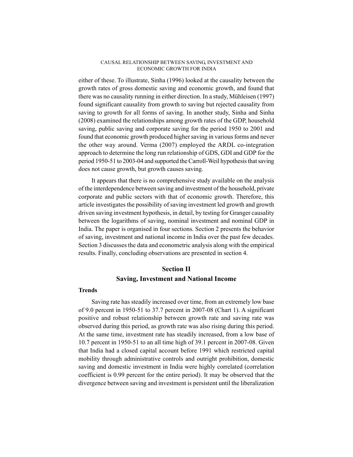either of these. To illustrate, Sinha (1996) looked at the causality between the growth rates of gross domestic saving and economic growth, and found that there was no causality running in either direction. In a study, Mühleisen (1997) found significant causality from growth to saving but rejected causality from saving to growth for all forms of saving. In another study, Sinha and Sinha (2008) examined the relationships among growth rates of the GDP, household saving, public saving and corporate saving for the period 1950 to 2001 and found that economic growth produced higher saving in various forms and never the other way around. Verma (2007) employed the ARDL co-integration approach to determine the long run relationship of GDS, GDI and GDP for the period 1950-51 to 2003-04 and supported the Carroll-Weil hypothesis that saving does not cause growth, but growth causes saving.

It appears that there is no comprehensive study available on the analysis of the interdependence between saving and investment of the household, private corporate and public sectors with that of economic growth. Therefore, this article investigates the possibility of saving investment led growth and growth driven saving investment hypothesis, in detail, by testing for Granger causality between the logarithms of saving, nominal investment and nominal GDP in India. The paper is organised in four sections. Section 2 presents the behavior of saving, investment and national income in India over the past few decades. Section 3 discusses the data and econometric analysis along with the empirical results. Finally, concluding observations are presented in section 4.

# **Section II Saving, Investment and National Income**

#### **Trends**

Saving rate has steadily increased over time, from an extremely low base of 9.0 percent in 1950-51 to 37.7 percent in 2007-08 (Chart 1). A significant positive and robust relationship between growth rate and saving rate was observed during this period, as growth rate was also rising during this period. At the same time, investment rate has steadily increased, from a low base of 10.7 percent in 1950-51 to an all time high of 39.1 percent in 2007-08. Given that India had a closed capital account before 1991 which restricted capital mobility through administrative controls and outright prohibition, domestic saving and domestic investment in India were highly correlated (correlation coefficient is 0.99 percent for the entire period). It may be observed that the divergence between saving and investment is persistent until the liberalization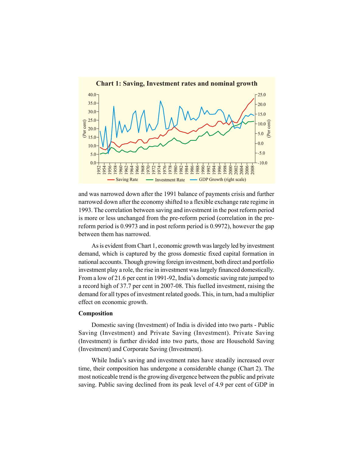

and was narrowed down after the 1991 balance of payments crisis and further narrowed down after the economy shifted to a flexible exchange rate regime in 1993. The correlation between saving and investment in the post reform period is more or less unchanged from the pre-reform period (correlation in the prereform period is 0.9973 and in post reform period is 0.9972), however the gap between them has narrowed.

As is evident from Chart 1, economic growth was largely led by investment demand, which is captured by the gross domestic fixed capital formation in national accounts. Though growing foreign investment, both direct and portfolio investment play a role, the rise in investment was largely financed domestically. From a low of 21.6 per cent in 1991-92, India's domestic saving rate jumped to a record high of 37.7 per cent in 2007-08. This fuelled investment, raising the demand for all types of investment related goods. This, in turn, had a multiplier effect on economic growth.

#### **Composition**

Domestic saving (Investment) of India is divided into two parts - Public Saving (Investment) and Private Saving (Investment). Private Saving (Investment) is further divided into two parts, those are Household Saving (Investment) and Corporate Saving (Investment).

While India's saving and investment rates have steadily increased over time, their composition has undergone a considerable change (Chart 2). The most noticeable trend is the growing divergence between the public and private saving. Public saving declined from its peak level of 4.9 per cent of GDP in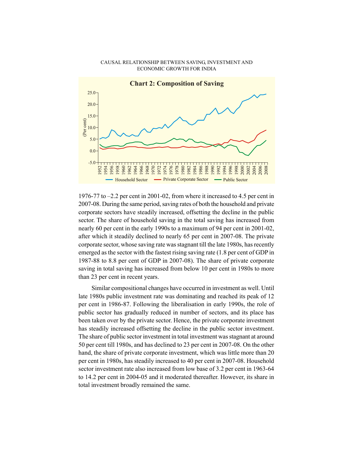

1976-77 to –2.2 per cent in 2001-02, from where it increased to 4.5 per cent in 2007-08. During the same period, saving rates of both the household and private corporate sectors have steadily increased, offsetting the decline in the public sector. The share of household saving in the total saving has increased from nearly 60 per cent in the early 1990s to a maximum of 94 per cent in 2001-02, after which it steadily declined to nearly 65 per cent in 2007-08. The private corporate sector, whose saving rate was stagnant till the late 1980s, has recently emerged as the sector with the fastest rising saving rate (1.8 per cent of GDP in 1987-88 to 8.8 per cent of GDP in 2007-08). The share of private corporate saving in total saving has increased from below 10 per cent in 1980s to more than 23 per cent in recent years.

Similar compositional changes have occurred in investment as well. Until late 1980s public investment rate was dominating and reached its peak of 12 per cent in 1986-87. Following the liberalisation in early 1990s, the role of public sector has gradually reduced in number of sectors, and its place has been taken over by the private sector. Hence, the private corporate investment has steadily increased offsetting the decline in the public sector investment. The share of public sector investment in total investment was stagnant at around 50 per cent till 1980s, and has declined to 23 per cent in 2007-08. On the other hand, the share of private corporate investment, which was little more than 20 per cent in 1980s, has steadily increased to 40 per cent in 2007-08. Household sector investment rate also increased from low base of 3.2 per cent in 1963-64 to 14.2 per cent in 2004-05 and it moderated thereafter. However, its share in total investment broadly remained the same.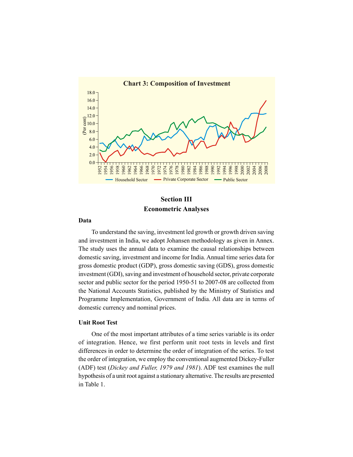

# **Section III Econometric Analyses**

## **Data**

To understand the saving, investment led growth or growth driven saving and investment in India, we adopt Johansen methodology as given in Annex. The study uses the annual data to examine the causal relationships between domestic saving, investment and income for India. Annual time series data for gross domestic product (GDP), gross domestic saving (GDS), gross domestic investment (GDI), saving and investment of household sector, private corporate sector and public sector for the period 1950-51 to 2007-08 are collected from the National Accounts Statistics, published by the Ministry of Statistics and Programme Implementation, Government of India. All data are in terms of domestic currency and nominal prices.

## **Unit Root Test**

One of the most important attributes of a time series variable is its order of integration. Hence, we first perform unit root tests in levels and first differences in order to determine the order of integration of the series. To test the order of integration, we employ the conventional augmented Dickey-Fuller (ADF) test (*Dickey and Fuller, 1979 and 1981*). ADF test examines the null hypothesis of a unit root against a stationary alternative.The results are presented in Table 1.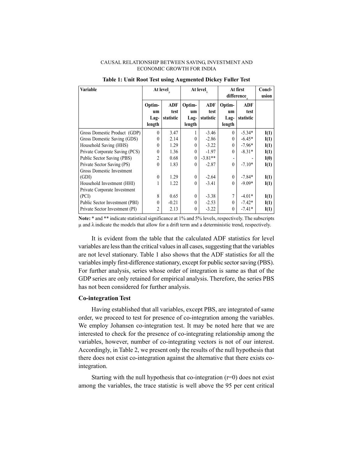| <b>Variable</b>                | At level                       |                          |                                | At level,                | At first<br>difference.        |                                 | Concl-<br>usion |
|--------------------------------|--------------------------------|--------------------------|--------------------------------|--------------------------|--------------------------------|---------------------------------|-----------------|
|                                | Optim-<br>um<br>Lag-<br>length | ADF<br>test<br>statistic | Optim-<br>um<br>Lag-<br>length | ADF<br>test<br>statistic | Optim-<br>um<br>Lag-<br>length | <b>ADF</b><br>test<br>statistic |                 |
| Gross Domestic Product (GDP)   | $\theta$                       | 3.47                     |                                | $-3.46$                  | $\Omega$                       | $-5.34*$                        | I(1)            |
| Gross Domestic Saving (GDS)    | $\theta$                       | 2.14                     | $\theta$                       | $-2.86$                  | $\theta$                       | $-6.45*$                        | I(1)            |
| Household Saving (HHS)         | $\theta$                       | 1.29                     | $\theta$                       | $-3.22$                  | $\Omega$                       | $-7.96*$                        | I(1)            |
| Private Corporate Saving (PCS) | $\theta$                       | 1.36                     | $\theta$                       | $-1.97$                  | $\theta$                       | $-8.31*$                        | I(1)            |
| Public Sector Saving (PBS)     | 2                              | 0.68                     | $\theta$                       | $-3.81**$                |                                |                                 | I(0)            |
| Private Sector Saving (PS)     | $\theta$                       | 1.83                     | $\theta$                       | $-2.87$                  | $\Omega$                       | $-7.10*$                        | I(1)            |
| Gross Domestic Investment      |                                |                          |                                |                          |                                |                                 |                 |
| (GDI)                          | $\theta$                       | 1.29                     | $\theta$                       | $-2.64$                  | $\theta$                       | $-7.84*$                        | I(1)            |
| Household Investment (HHI)     | 1                              | 1.22                     | $\theta$                       | $-3.41$                  | $\theta$                       | $-9.09*$                        | I(1)            |
| Private Corporate Investment   |                                |                          |                                |                          |                                |                                 |                 |
| (PCI)                          | 8                              | 0.65                     | $\theta$                       | $-3.38$                  |                                | $-4.01*$                        | I(1)            |
| Public Sector Investment (PBI) | $\theta$                       | $-0.21$                  | $\theta$                       | $-2.53$                  | $\Omega$                       | $-7.42*$                        | I(1)            |
| Private Sector Investment (PI) | $\overline{c}$                 | 2.13                     | $\theta$                       | $-3.22$                  | $\theta$                       | $-7.41*$                        | I(1)            |

#### **Table 1: Unit Root Test using Augmented Dickey Fuller Test**

**Note:** \* and \*\* indicate statistical significance at 1% and 5% levels, respectively. The subscripts  $\mu$  and  $\lambda$  indicate the models that allow for a drift term and a deterministic trend, respectively.

It is evident from the table that the calculated ADF statistics for level variables are less than the critical values in all cases, suggesting that the variables are not level stationary. Table 1 also shows that the ADF statistics for all the variables imply first-difference stationary, except for public sector saving (PBS). For further analysis, series whose order of integration is same as that of the GDP series are only retained for empirical analysis. Therefore, the series PBS has not been considered for further analysis.

### **Co-integration Test**

Having established that all variables, except PBS, are integrated of same order, we proceed to test for presence of co-integration among the variables. We employ Johansen co-integration test. It may be noted here that we are interested to check for the presence of co-integrating relationship among the variables, however, number of co-integrating vectors is not of our interest. Accordingly, in Table 2, we present only the results of the null hypothesis that there does not exist co-integration against the alternative that there exists cointegration.

Starting with the null hypothesis that co-integration  $(r=0)$  does not exist among the variables, the trace statistic is well above the 95 per cent critical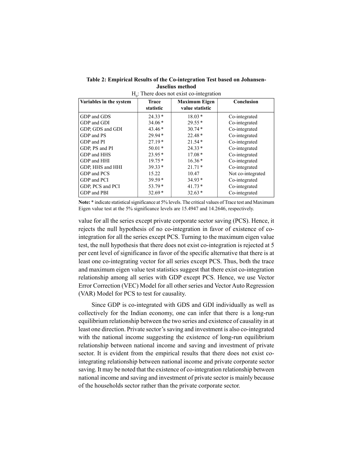**Table 2: Empirical Results of the Co-integration Test based on Johansen-Juselius method**

| v                       |                           |                                         |                   |  |  |  |  |
|-------------------------|---------------------------|-----------------------------------------|-------------------|--|--|--|--|
| Variables in the system | <b>Trace</b><br>statistic | <b>Maximum Eigen</b><br>value statistic | Conclusion        |  |  |  |  |
| GDP and GDS             | $24.33*$                  | $18.03*$                                | Co-integrated     |  |  |  |  |
| GDP and GDI             | $34.06*$                  | $29.55*$                                | Co-integrated     |  |  |  |  |
| GDP, GDS and GDI        | $43.46*$                  | $30.74*$                                | Co-integrated     |  |  |  |  |
| GDP and PS              | $29.94*$                  | $22.48*$                                | Co-integrated     |  |  |  |  |
| GDP and PI              | $27.19*$                  | $21.54*$                                | Co-integrated     |  |  |  |  |
| GDP, PS and PI          | $50.01*$                  | $24.33*$                                | Co-integrated     |  |  |  |  |
| GDP and HHS             | $23.95*$                  | $17.08*$                                | Co-integrated     |  |  |  |  |
| GDP and HHI             | $19.75*$                  | $16.36*$                                | Co-integrated     |  |  |  |  |
| GDP, HHS and HHI        | $39.33*$                  | $21.71*$                                | Co-integrated     |  |  |  |  |
| GDP and PCS             | 15.22                     | 10.47                                   | Not co-integrated |  |  |  |  |
| GDP and PCI             | $39.59*$                  | $34.93*$                                | Co-integrated     |  |  |  |  |
| GDP, PCS and PCI        | $53.79*$                  | $41.73*$                                | Co-integrated     |  |  |  |  |
| GDP and PBI             | $32.69*$                  | $32.63*$                                | Co-integrated     |  |  |  |  |
|                         |                           |                                         |                   |  |  |  |  |

 $H<sub>0</sub>$ : There does not exist co-integration

**Note:** \* indicate statistical significance at 5% levels. The critical values of Trace test and Maximum Eigen value test at the 5% significance levels are 15.4947 and 14.2646, respectively.

value for all the series except private corporate sector saving (PCS). Hence, it rejects the null hypothesis of no co-integration in favor of existence of cointegration for all the series except PCS. Turning to the maximum eigen value test, the null hypothesis that there does not exist co-integration is rejected at 5 per cent level of significance in favor of the specific alternative that there is at least one co-integrating vector for all series except PCS. Thus, both the trace and maximum eigen value test statistics suggest that there exist co-integration relationship among all series with GDP except PCS. Hence, we use Vector Error Correction (VEC) Model for all other series and Vector Auto Regression (VAR) Model for PCS to test for causality.

Since GDP is co-integrated with GDS and GDI individually as well as collectively for the Indian economy, one can infer that there is a long-run equilibrium relationship between the two series and existence of causality in at least one direction. Private sector's saving and investment is also co-integrated with the national income suggesting the existence of long-run equilibrium relationship between national income and saving and investment of private sector. It is evident from the empirical results that there does not exist cointegrating relationship between national income and private corporate sector saving. It may be noted that the existence of co-integration relationship between national income and saving and investment of private sector is mainly because of the households sector rather than the private corporate sector.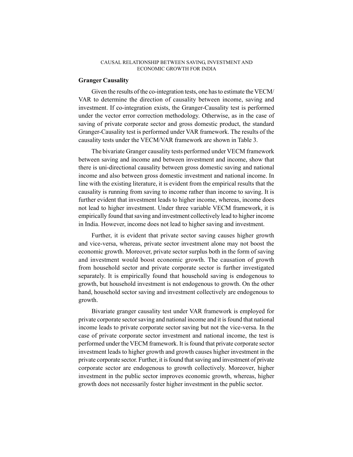#### **Granger Causality**

Given the results of the co-integration tests, one has to estimate the VECM/ VAR to determine the direction of causality between income, saving and investment. If co-integration exists, the Granger-Causality test is performed under the vector error correction methodology. Otherwise, as in the case of saving of private corporate sector and gross domestic product, the standard Granger-Causality test is performed under VAR framework. The results of the causality tests under the VECM/VAR framework are shown in Table 3.

The bivariate Granger causality tests performed under VECM framework between saving and income and between investment and income, show that there is uni-directional causality between gross domestic saving and national income and also between gross domestic investment and national income. In line with the existing literature, it is evident from the empirical results that the causality is running from saving to income rather than income to saving. It is further evident that investment leads to higher income, whereas, income does not lead to higher investment. Under three variable VECM framework, it is empirically found that saving and investment collectively lead to higher income in India. However, income does not lead to higher saving and investment.

Further, it is evident that private sector saving causes higher growth and vice-versa, whereas, private sector investment alone may not boost the economic growth. Moreover, private sector surplus both in the form of saving and investment would boost economic growth. The causation of growth from household sector and private corporate sector is further investigated separately. It is empirically found that household saving is endogenous to growth, but household investment is not endogenous to growth. On the other hand, household sector saving and investment collectively are endogenous to growth.

Bivariate granger causality test under VAR framework is employed for private corporate sector saving and national income and it is found that national income leads to private corporate sector saving but not the vice-versa. In the case of private corporate sector investment and national income, the test is performed under the VECM framework. It is found that private corporate sector investment leads to higher growth and growth causes higher investment in the private corporate sector. Further, it is found that saving and investment of private corporate sector are endogenous to growth collectively. Moreover, higher investment in the public sector improves economic growth, whereas, higher growth does not necessarily foster higher investment in the public sector.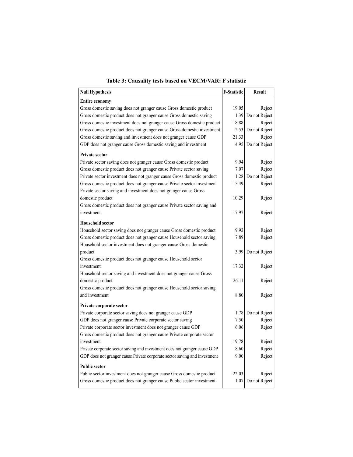| <b>Null Hypothesis</b>                                                    | <b>F-Statistic</b> | <b>Result</b>      |
|---------------------------------------------------------------------------|--------------------|--------------------|
| <b>Entire economy</b>                                                     |                    |                    |
| Gross domestic saving does not granger cause Gross domestic product       | 19.05              | Reject             |
| Gross domestic product does not granger cause Gross domestic saving       | 1.39               | Do not Reject      |
| Gross domestic investment does not granger cause Gross domestic product   | 18.88              | Reject             |
| Gross domestic product does not granger cause Gross domestic investment   | 2.53               | Do not Reject      |
| Gross domestic saving and investment does not granger cause GDP           | 21.33              | Reject             |
| GDP does not granger cause Gross domestic saving and investment           | 4.95               | Do not Reject      |
| <b>Private sector</b>                                                     |                    |                    |
| Private sector saving does not granger cause Gross domestic product       | 9.94               | Reject             |
| Gross domestic product does not granger cause Private sector saving       | 7.07               | Reject             |
| Private sector investment does not granger cause Gross domestic product   | 1.28               | Do not Reject      |
| Gross domestic product does not granger cause Private sector investment   | 15.49              | Reject             |
| Private sector saving and investment does not granger cause Gross         |                    |                    |
| domestic product                                                          | 10.29              | Reject             |
| Gross domestic product does not granger cause Private sector saving and   |                    |                    |
| investment                                                                | 17.97              | Reject             |
| <b>Household sector</b>                                                   |                    |                    |
| Household sector saving does not granger cause Gross domestic product     | 9.92               | Reject             |
| Gross domestic product does not granger cause Household sector saving     | 7.89               | Reject             |
| Household sector investment does not granger cause Gross domestic         |                    |                    |
| product                                                                   |                    | 3.99 Do not Reject |
| Gross domestic product does not granger cause Household sector            |                    |                    |
| investment                                                                | 17.32              | Reject             |
| Household sector saving and investment does not granger cause Gross       |                    |                    |
| domestic product                                                          | 26.11              | Reject             |
| Gross domestic product does not granger cause Household sector saving     |                    |                    |
| and investment                                                            | 8.80               | Reject             |
| Private corporate sector                                                  |                    |                    |
| Private corporate sector saving does not granger cause GDP                |                    | 1.78 Do not Reject |
| GDP does not granger cause Private corporate sector saving                | 7.50               | Reject             |
| Private corporate sector investment does not granger cause GDP            | 6.06               | Reject             |
| Gross domestic product does not granger cause Private corporate sector    |                    |                    |
| investment                                                                | 19.78              | Reject             |
| Private corporate sector saving and investment does not granger cause GDP | 8.60               | Reject             |
| GDP does not granger cause Private corporate sector saving and investment | 9.00               | Reject             |
| <b>Public sector</b>                                                      |                    |                    |
| Public sector investment does not granger cause Gross domestic product    | 22.03              | Reject             |
| Gross domestic product does not granger cause Public sector investment    | 1.07               | Do not Reject      |
|                                                                           |                    |                    |

| Table 3: Causality tests based on VECM/VAR: F statistic |  |  |  |
|---------------------------------------------------------|--|--|--|
|                                                         |  |  |  |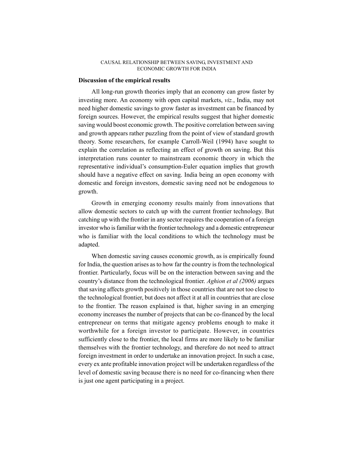## **Discussion of the empirical results**

All long-run growth theories imply that an economy can grow faster by investing more. An economy with open capital markets, *viz.*, India, may not need higher domestic savings to grow faster as investment can be financed by foreign sources. However, the empirical results suggest that higher domestic saving would boost economic growth. The positive correlation between saving and growth appears rather puzzling from the point of view of standard growth theory. Some researchers, for example Carroll-Weil (1994) have sought to explain the correlation as reflecting an effect of growth on saving. But this interpretation runs counter to mainstream economic theory in which the representative individual's consumption-Euler equation implies that growth should have a negative effect on saving. India being an open economy with domestic and foreign investors, domestic saving need not be endogenous to growth.

Growth in emerging economy results mainly from innovations that allow domestic sectors to catch up with the current frontier technology. But catching up with the frontier in any sector requires the cooperation of a foreign investor who is familiar with the frontier technology and a domestic entrepreneur who is familiar with the local conditions to which the technology must be adapted.

When domestic saving causes economic growth, as is empirically found for India, the question arises as to how far the country is from the technological frontier. Particularly, focus will be on the interaction between saving and the country's distance from the technological frontier. *Aghion et al (2006)* argues that saving affects growth positively in those countries that are not too close to the technological frontier, but does not affect it at all in countries that are close to the frontier. The reason explained is that, higher saving in an emerging economy increases the number of projects that can be co-financed by the local entrepreneur on terms that mitigate agency problems enough to make it worthwhile for a foreign investor to participate. However, in countries sufficiently close to the frontier, the local firms are more likely to be familiar themselves with the frontier technology, and therefore do not need to attract foreign investment in order to undertake an innovation project. In such a case, every ex ante profitable innovation project will be undertaken regardless of the level of domestic saving because there is no need for co-financing when there is just one agent participating in a project.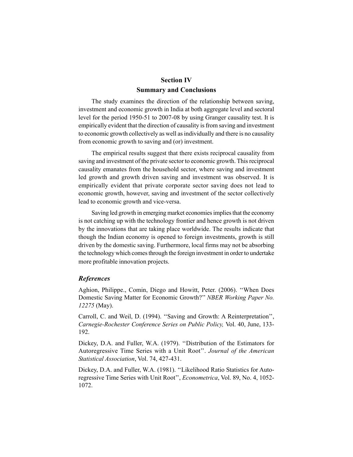# **Section IV Summary and Conclusions**

The study examines the direction of the relationship between saving, investment and economic growth in India at both aggregate level and sectoral level for the period 1950-51 to 2007-08 by using Granger causality test. It is empirically evident that the direction of causality is from saving and investment to economic growth collectively as well as individually and there is no causality from economic growth to saving and (or) investment.

The empirical results suggest that there exists reciprocal causality from saving and investment of the private sector to economic growth. This reciprocal causality emanates from the household sector, where saving and investment led growth and growth driven saving and investment was observed. It is empirically evident that private corporate sector saving does not lead to economic growth, however, saving and investment of the sector collectively lead to economic growth and vice-versa.

Saving led growth in emerging market economies implies that the economy is not catching up with the technology frontier and hence growth is not driven by the innovations that are taking place worldwide. The results indicate that though the Indian economy is opened to foreign investments, growth is still driven by the domestic saving. Furthermore, local firms may not be absorbing the technology which comes through the foreign investment in order to undertake more profitable innovation projects.

# *References*

Aghion, Philippe., Comin, Diego and Howitt, Peter. (2006). ''When Does Domestic Saving Matter for Economic Growth?'' *NBER Working Paper No. 12275* (May).

Carroll, C. and Weil, D. (1994). ''Saving and Growth: A Reinterpretation'', *Carnegie-Rochester Conference Series on Public Policy,* Vol. 40, June, 133- 192.

Dickey, D.A. and Fuller, W.A. (1979). ''Distribution of the Estimators for Autoregressive Time Series with a Unit Root''. *Journal of the American Statistical Association*, Vol. 74, 427-431.

Dickey, D.A. and Fuller, W.A. (1981). ''Likelihood Ratio Statistics for Autoregressive Time Series with Unit Root'', *Econometrica*, Vol. 89, No. 4, 1052- 1072.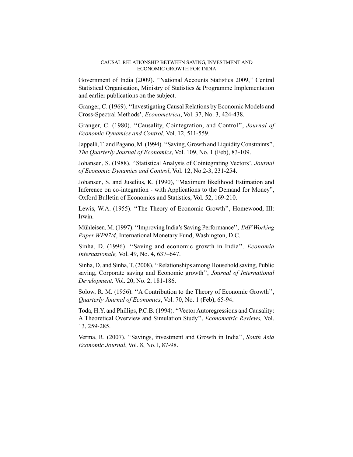Government of India (2009). ''National Accounts Statistics 2009,'' Central Statistical Organisation, Ministry of Statistics & Programme Implementation and earlier publications on the subject.

Granger, C. (1969). ''Investigating Causal Relations by Economic Models and Cross-Spectral Methods', *Econometrica*, Vol. 37, No. 3, 424-438.

Granger, C. (1980). ''Causality, Cointegration, and Control'', *Journal of Economic Dynamics and Control*, Vol. 12, 511-559.

Jappelli, T. and Pagano, M. (1994). ''Saving, Growth and Liquidity Constraints'', *The Quarterly Journal of Economics*, Vol. 109, No. 1 (Feb), 83-109.

Johansen, S. (1988). ''Statistical Analysis of Cointegrating Vectors', *Journal of Economic Dynamics and Control*, Vol. 12, No.2-3, 231-254.

Johansen, S. and Juselius, K. (1990), "Maximum likelihood Estimation and Inference on co-integration - with Applications to the Demand for Money", Oxford Bulletin of Economics and Statistics, Vol. 52, 169-210.

Lewis, W.A. (1955). ''The Theory of Economic Growth'', Homewood, III: Irwin.

Mühleisen, M. (1997). ''Improving India's Saving Performance'', *IMF Working Paper WP97/4*, International Monetary Fund, Washington, D.C.

Sinha, D. (1996). ''Saving and economic growth in India''. *Economia Internazionale,* Vol. 49, No. 4, 637–647.

Sinha, D. and Sinha, T. (2008). ''Relationships among Household saving, Public saving, Corporate saving and Economic growth'', *Journal of International Development,* Vol. 20, No. 2, 181-186.

Solow, R. M. (1956). ''A Contribution to the Theory of Economic Growth'', *Quarterly Journal of Economics*, Vol. 70, No. 1 (Feb), 65-94.

Toda, H.Y. and Phillips, P.C.B. (1994). ''Vector Autoregressions and Causality: A Theoretical Overview and Simulation Study'', *Econometric Reviews,* Vol. 13, 259-285.

Verma, R. (2007). ''Savings, investment and Growth in India'', *South Asia Economic Journal*, Vol. 8, No.1, 87-98.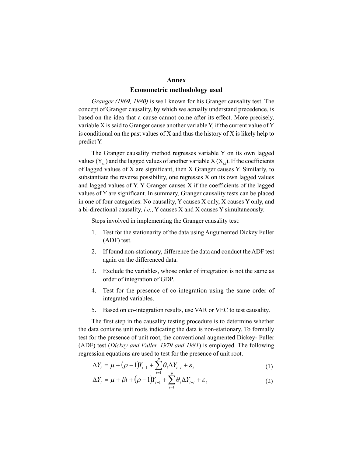#### **Annex**

## **Econometric methodology used**

*Granger (1969, 1980)* is well known for his Granger causality test. The concept of Granger causality, by which we actually understand precedence, is based on the idea that a cause cannot come after its effect. More precisely, variable X is said to Granger cause another variable Y, if the current value of Y is conditional on the past values of  $X$  and thus the history of  $X$  is likely help to predict Y.

The Granger causality method regresses variable Y on its own lagged values  $(Y_{t-1})$  and the lagged values of another variable  $X(X_{t-1})$ . If the coefficients of lagged values of X are significant, then X Granger causes Y. Similarly, to substantiate the reverse possibility, one regresses X on its own lagged values and lagged values of Y. Y Granger causes X if the coefficients of the lagged values of Y are significant. In summary, Granger causality tests can be placed in one of four categories: No causality, Y causes X only, X causes Y only, and a bi-directional causality, *i.e.*, Y causes X and X causes Y simultaneously.

Steps involved in implementing the Granger causality test:

- 1. Test for the stationarity of the data using Augumented Dickey Fuller (ADF) test.
- 2. If found non-stationary, difference the data and conduct the ADF test again on the differenced data.
- 3. Exclude the variables, whose order of integration is not the same as order of integration of GDP.
- 4. Test for the presence of co-integration using the same order of integrated variables.
- 5. Based on co-integration results, use VAR or VEC to test causality.

The first step in the causality testing procedure is to determine whether the data contains unit roots indicating the data is non-stationary. To formally test for the presence of unit root, the conventional augmented Dickey- Fuller (ADF) test (*Dickey and Fuller, 1979 and 1981*) is employed. The following regression equations are used to test for the presence of unit root. *p*

$$
\Delta Y_t = \mu + (\rho - 1)Y_{t-1} + \sum_{i=1}^{\nu} \theta_i \Delta Y_{t-i} + \varepsilon_t
$$
\n(1)

$$
\Delta Y_t = \mu + \beta t + (\rho - 1)Y_{t-1} + \sum_{i=1}^{\nu} \theta_i \Delta Y_{t-i} + \varepsilon_t
$$
\n(2)